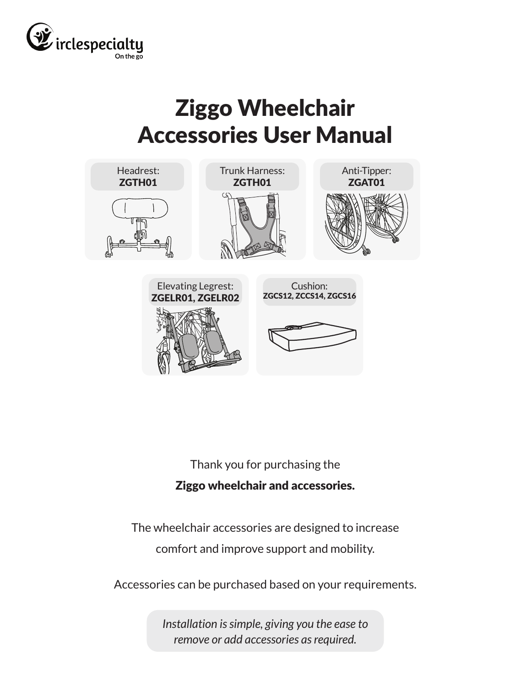

# Ziggo Wheelchair Accessories User Manual



Thank you for purchasing the Ziggo wheelchair and accessories.

The wheelchair accessories are designed to increase comfort and improve support and mobility.

Accessories can be purchased based on your requirements.

*Installation is simple, giving you the ease to remove or add accessories as required.*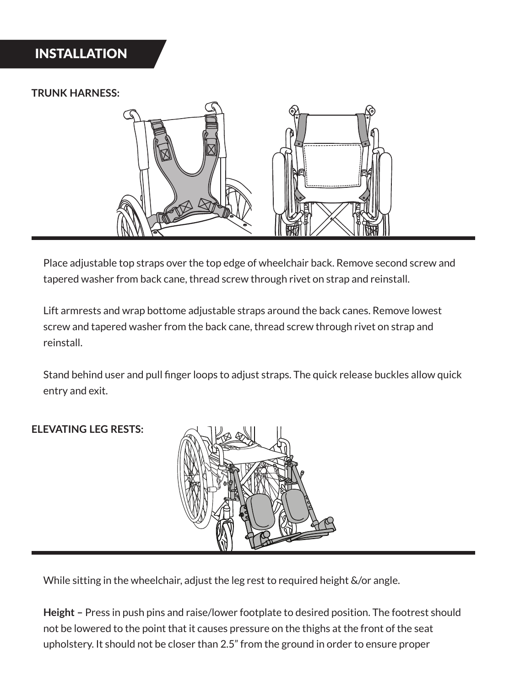## INSTALLATION

#### **TRUNK HARNESS:**



Place adjustable top straps over the top edge of wheelchair back. Remove second screw and tapered washer from back cane, thread screw through rivet on strap and reinstall.

Lift armrests and wrap bottome adjustable straps around the back canes. Remove lowest screw and tapered washer from the back cane, thread screw through rivet on strap and reinstall.

Stand behind user and pull finger loops to adjust straps. The quick release buckles allow quick entry and exit.

#### **ELEVATING LEG RESTS:**



While sitting in the wheelchair, adjust the leg rest to required height &/or angle.

**Height –** Press in push pins and raise/lower footplate to desired position. The footrest should not be lowered to the point that it causes pressure on the thighs at the front of the seat upholstery. It should not be closer than 2.5" from the ground in order to ensure proper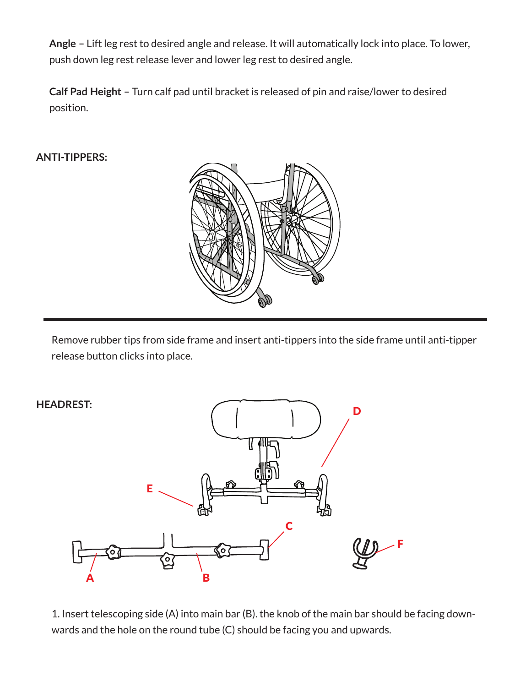**Angle –** Lift leg rest to desired angle and release. It will automatically lock into place. To lower, push down leg rest release lever and lower leg rest to desired angle.

**Calf Pad Height –** Turn calf pad until bracket is released of pin and raise/lower to desired position.

#### **ANTI-TIPPERS:**



Remove rubber tips from side frame and insert anti-tippers into the side frame until anti-tipper release button clicks into place.



1. Insert telescoping side (A) into main bar (B). the knob of the main bar should be facing downwards and the hole on the round tube (C) should be facing you and upwards.